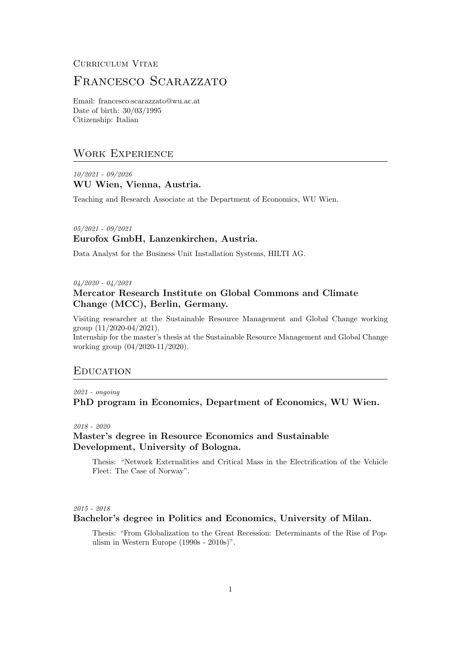# Curriculum Vitae

# FRANCESCO SCARAZZATO

Email: francesco.scarazzato@wu.ac.at Date of birth: 30/03/1995 Citizenship: Italian

# Work Experience

10/2021 - 09/2026 WU Wien, Vienna, Austria.

Teaching and Research Associate at the Department of Economics, WU Wien.

# 05/2021 - 09/2021 Eurofox GmbH, Lanzenkirchen, Austria.

Data Analyst for the Business Unit Installation Systems, HILTI AG.

04/2020 - 04/2021

# Mercator Research Institute on Global Commons and Climate Change (MCC), Berlin, Germany.

Visiting researcher at the Sustainable Resource Management and Global Change working group (11/2020-04/2021).

Internship for the master's thesis at the Sustainable Resource Management and Global Change working group (04/2020-11/2020).

#### **EDUCATION**

# 2021 - ongoing PhD program in Economics, Department of Economics, WU Wien.

2018 - 2020

## Master's degree in Resource Economics and Sustainable Development, University of Bologna.

Thesis: "Network Externalities and Critical Mass in the Electrification of the Vehicle Fleet: The Case of Norway".

#### 2015 - 2018

### Bachelor's degree in Politics and Economics, University of Milan.

Thesis: "From Globalization to the Great Recession: Determinants of the Rise of Populism in Western Europe (1990s - 2010s)".